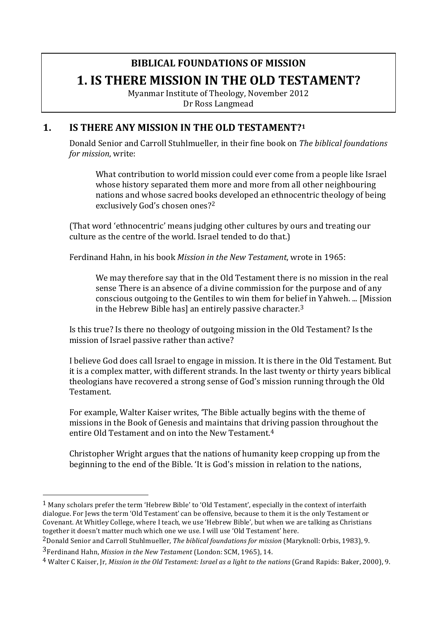# **BIBLICAL FOUNDATIONS OF MISSION 1. IS THERE MISSION IN THE OLD TESTAMENT?**

Myanmar Institute of Theology, November 2012 Dr Ross Langmead

#### **1. IS THERE ANY MISSION IN THE OLD TESTAMENT?1**

Donald Senior and Carroll Stuhlmueller, in their fine book on *The biblical foundations for mission*, write:

What contribution to world mission could ever come from a people like Israel whose history separated them more and more from all other neighbouring nations and whose sacred books developed an ethnocentric theology of being exclusively God's chosen ones?<sup>2</sup>

(That word 'ethnocentric' means judging other cultures by ours and treating our culture as the centre of the world. Israel tended to do that.)

Ferdinand Hahn, in his book *Mission in the New Testament*, wrote in 1965:

We may therefore say that in the Old Testament there is no mission in the real sense There is an absence of a divine commission for the purpose and of any conscious outgoing to the Gentiles to win them for belief in Yahweh. ... [Mission in the Hebrew Bible has] an entirely passive character.<sup>3</sup>

Is this true? Is there no theology of outgoing mission in the Old Testament? Is the mission of Israel passive rather than active?

I believe God does call Israel to engage in mission. It is there in the Old Testament. But it is a complex matter, with different strands. In the last twenty or thirty years biblical theologians have recovered a strong sense of God's mission running through the Old Testament.

For example, Walter Kaiser writes, 'The Bible actually begins with the theme of missions in the Book of Genesis and maintains that driving passion throughout the entire Old Testament and on into the New Testament.<sup>4</sup>

Christopher Wright argues that the nations of humanity keep cropping up from the beginning to the end of the Bible. 'It is God's mission in relation to the nations,

 $1$  Many scholars prefer the term 'Hebrew Bible' to 'Old Testament', especially in the context of interfaith dialogue. For lews the term 'Old Testament' can be offensive, because to them it is the only Testament or Covenant. At Whitley College, where I teach, we use 'Hebrew Bible', but when we are talking as Christians together it doesn't matter much which one we use. I will use 'Old Testament' here.

<sup>&</sup>lt;sup>2</sup> Donald Senior and Carroll Stuhlmueller, *The biblical foundations for mission* (Maryknoll: Orbis, 1983), 9.

<sup>&</sup>lt;sup>3</sup>Ferdinand Hahn, *Mission in the New Testament* (London: SCM, 1965), 14.

<sup>&</sup>lt;sup>4</sup> Walter C Kaiser, Jr, *Mission in the Old Testament: Israel as a light to the nations* (Grand Rapids: Baker, 2000), 9.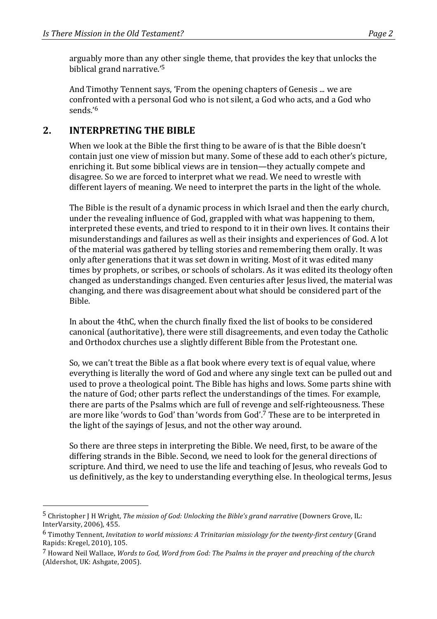arguably more than any other single theme, that provides the key that unlocks the biblical grand narrative.'<sup>5</sup>

And Timothy Tennent says, 'From the opening chapters of Genesis ... we are confronted with a personal God who is not silent, a God who acts, and a God who sends.'6

#### 2. **INTERPRETING THE BIBLE**

 

When we look at the Bible the first thing to be aware of is that the Bible doesn't contain just one view of mission but many. Some of these add to each other's picture, enriching it. But some biblical views are in tension—they actually compete and disagree. So we are forced to interpret what we read. We need to wrestle with different layers of meaning. We need to interpret the parts in the light of the whole.

The Bible is the result of a dynamic process in which Israel and then the early church, under the revealing influence of God, grappled with what was happening to them, interpreted these events, and tried to respond to it in their own lives. It contains their misunderstandings and failures as well as their insights and experiences of God. A lot of the material was gathered by telling stories and remembering them orally. It was only after generations that it was set down in writing. Most of it was edited many times by prophets, or scribes, or schools of scholars. As it was edited its theology often changed as understandings changed. Even centuries after Jesus lived, the material was changing, and there was disagreement about what should be considered part of the Bible.

In about the 4thC, when the church finally fixed the list of books to be considered canonical (authoritative), there were still disagreements, and even today the Catholic and Orthodox churches use a slightly different Bible from the Protestant one.

So, we can't treat the Bible as a flat book where every text is of equal value, where everything is literally the word of God and where any single text can be pulled out and used to prove a theological point. The Bible has highs and lows. Some parts shine with the nature of God; other parts reflect the understandings of the times. For example, there are parts of the Psalms which are full of revenge and self-righteousness. These are more like 'words to God' than 'words from God'.<sup>7</sup> These are to be interpreted in the light of the sayings of Jesus, and not the other way around.

So there are three steps in interpreting the Bible. We need, first, to be aware of the differing strands in the Bible. Second, we need to look for the general directions of scripture. And third, we need to use the life and teaching of Jesus, who reveals God to us definitively, as the key to understanding everything else. In theological terms, Jesus

<sup>&</sup>lt;sup>5</sup> Christopher *I H Wright, The mission of God: Unlocking the Bible's grand narrative* (Downers Grove, IL: InterVarsity, 2006), 455.

<sup>&</sup>lt;sup>6</sup> Timothy Tennent, *Invitation to world missions: A Trinitarian missiology for the twenty-first century (Grand* Rapids: Kregel, 2010), 105.

<sup>&</sup>lt;sup>7</sup> Howard Neil Wallace. *Words to God. Word from God: The Psalms in the prayer and preaching of the church* (Aldershot, UK: Ashgate, 2005).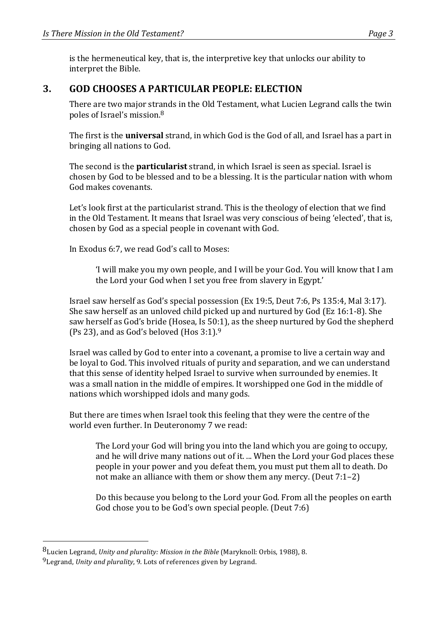is the hermeneutical key, that is, the interpretive key that unlocks our ability to interpret the Bible.

#### **3. GOD CHOOSES A PARTICULAR PEOPLE: ELECTION**

There are two major strands in the Old Testament, what Lucien Legrand calls the twin poles of Israel's mission.<sup>8</sup>

The first is the **universal** strand, in which God is the God of all, and Israel has a part in bringing all nations to God.

The second is the **particularist** strand, in which Israel is seen as special. Israel is chosen by God to be blessed and to be a blessing. It is the particular nation with whom God makes covenants.

Let's look first at the particularist strand. This is the theology of election that we find in the Old Testament. It means that Israel was very conscious of being 'elected', that is, chosen by God as a special people in covenant with God.

In Exodus 6:7, we read God's call to Moses:

'I will make you my own people, and I will be your God. You will know that I am the Lord your God when I set you free from slavery in Egypt.'

Israel saw herself as God's special possession (Ex 19:5, Deut 7:6, Ps 135:4, Mal 3:17). She saw herself as an unloved child picked up and nurtured by God (Ez  $16:1-8$ ). She saw herself as God's bride (Hosea, Is 50:1), as the sheep nurtured by God the shepherd (Ps 23), and as God's beloved (Hos  $3:1$ ).<sup>9</sup>

Israel was called by God to enter into a covenant, a promise to live a certain way and be loyal to God. This involved rituals of purity and separation, and we can understand that this sense of identity helped Israel to survive when surrounded by enemies. It was a small nation in the middle of empires. It worshipped one God in the middle of nations which worshipped idols and many gods.

But there are times when Israel took this feeling that they were the centre of the world even further. In Deuteronomy 7 we read:

The Lord your God will bring you into the land which you are going to occupy, and he will drive many nations out of it. ... When the Lord your God places these people in your power and you defeat them, you must put them all to death. Do not make an alliance with them or show them any mercy. (Deut  $7:1-2$ )

Do this because you belong to the Lord your God. From all the peoples on earth God chose you to be God's own special people. (Deut 7:6)

<sup>8</sup>Lucien Legrand, *Unity and plurality: Mission in the Bible* (Maryknoll: Orbis, 1988), 8.

<sup>&</sup>lt;sup>9</sup> Legrand, *Unity and plurality*, 9. Lots of references given by Legrand.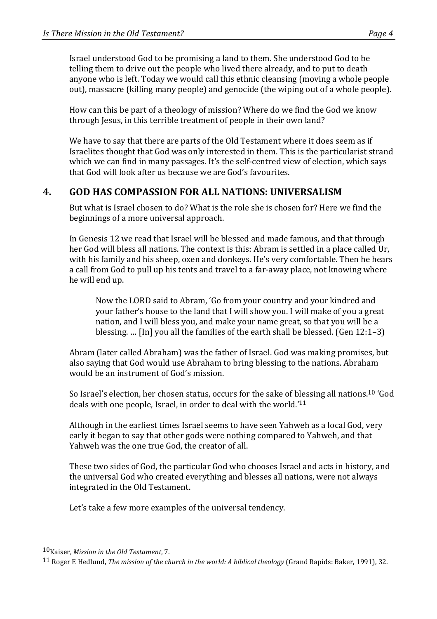Israel understood God to be promising a land to them. She understood God to be telling them to drive out the people who lived there already, and to put to death anyone who is left. Today we would call this ethnic cleansing (moving a whole people out), massacre (killing many people) and genocide (the wiping out of a whole people).

How can this be part of a theology of mission? Where do we find the God we know through Jesus, in this terrible treatment of people in their own land?

We have to say that there are parts of the Old Testament where it does seem as if Israelites thought that God was only interested in them. This is the particularist strand which we can find in many passages. It's the self-centred view of election, which says that God will look after us because we are God's favourites.

### **4. GOD HAS COMPASSION FOR ALL NATIONS: UNIVERSALISM**

But what is Israel chosen to do? What is the role she is chosen for? Here we find the beginnings of a more universal approach.

In Genesis 12 we read that Israel will be blessed and made famous, and that through her God will bless all nations. The context is this: Abram is settled in a place called Ur, with his family and his sheep, oxen and donkeys. He's very comfortable. Then he hears a call from God to pull up his tents and travel to a far-away place, not knowing where he will end up.

Now the LORD said to Abram, 'Go from your country and your kindred and your father's house to the land that I will show you. I will make of you a great nation, and I will bless you, and make your name great, so that you will be a blessing. ... [In] you all the families of the earth shall be blessed. (Gen  $12:1-3$ )

Abram (later called Abraham) was the father of Israel. God was making promises, but also saying that God would use Abraham to bring blessing to the nations. Abraham would be an instrument of God's mission.

So Israel's election, her chosen status, occurs for the sake of blessing all nations.<sup>10</sup> 'God deals with one people, Israel, in order to deal with the world.<sup>'11</sup>

Although in the earliest times Israel seems to have seen Yahweh as a local God, very early it began to say that other gods were nothing compared to Yahweh, and that Yahweh was the one true God, the creator of all.

These two sides of God, the particular God who chooses Israel and acts in history, and the universal God who created everything and blesses all nations, were not always integrated in the Old Testament.

Let's take a few more examples of the universal tendency.

<sup>10&</sup>lt;sub>Kaiser</sub>, *Mission in the Old Testament*, 7.

<sup>&</sup>lt;sup>11</sup> Roger E Hedlund, *The mission of the church in the world: A biblical theology* (Grand Rapids: Baker, 1991), 32.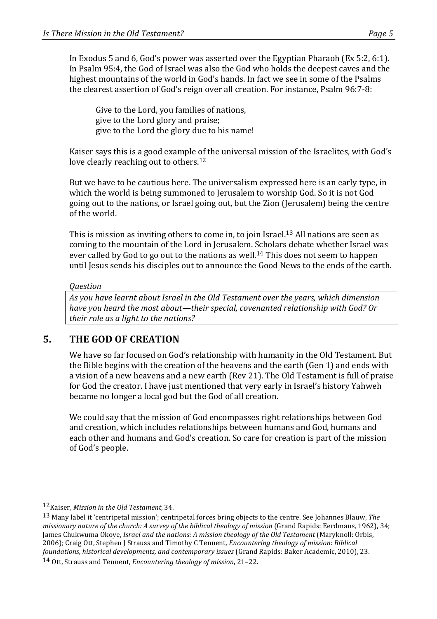In Exodus 5 and 6, God's power was asserted over the Egyptian Pharaoh (Ex 5:2, 6:1). In Psalm 95:4, the God of Israel was also the God who holds the deepest caves and the highest mountains of the world in God's hands. In fact we see in some of the Psalms the clearest assertion of God's reign over all creation. For instance, Psalm 96:7-8:

Give to the Lord, you families of nations, give to the Lord glory and praise; give to the Lord the glory due to his name!

Kaiser says this is a good example of the universal mission of the Israelites, with God's love clearly reaching out to others.<sup>12</sup>

But we have to be cautious here. The universalism expressed here is an early type, in which the world is being summoned to Jerusalem to worship God. So it is not God going out to the nations, or Israel going out, but the Zion (Jerusalem) being the centre of the world.

This is mission as inviting others to come in, to join Israel.<sup>13</sup> All nations are seen as coming to the mountain of the Lord in Jerusalem. Scholars debate whether Israel was ever called by God to go out to the nations as well.<sup>14</sup> This does not seem to happen until Jesus sends his disciples out to announce the Good News to the ends of the earth.

#### *Question*

As you have learnt about Israel in the Old Testament over the years, which dimension *have you heard the most about—their special, covenanted relationship with God? Or their role as a light to the nations?* 

# **5.** THE GOD OF CREATION

We have so far focused on God's relationship with humanity in the Old Testament. But the Bible begins with the creation of the heavens and the earth (Gen 1) and ends with a vision of a new heavens and a new earth (Rev 21). The Old Testament is full of praise for God the creator. I have just mentioned that very early in Israel's history Yahweh became no longer a local god but the God of all creation.

We could say that the mission of God encompasses right relationships between God and creation, which includes relationships between humans and God, humans and each other and humans and God's creation. So care for creation is part of the mission of God's people.

 

14 Ott, Strauss and Tennent, *Encountering theology of mission*, 21–22.

<sup>12&</sup>lt;sub>Kaiser, Mission in the Old Testament, 34.</sub>

<sup>&</sup>lt;sup>13</sup> Many label it 'centripetal mission'; centripetal forces bring objects to the centre. See Johannes Blauw, *The missionary nature of the church: A survey of the biblical theology of mission* (Grand Rapids: Eerdmans, 1962), 34; James Chukwuma Okoye, *Israel and the nations: A mission theology of the Old Testament* (Maryknoll: Orbis, 2006); Craig Ott, Stephen J Strauss and Timothy C Tennent, *Encountering theology of mission: Biblical foundations, historical developments, and contemporary issues* (Grand Rapids: Baker Academic, 2010), 23.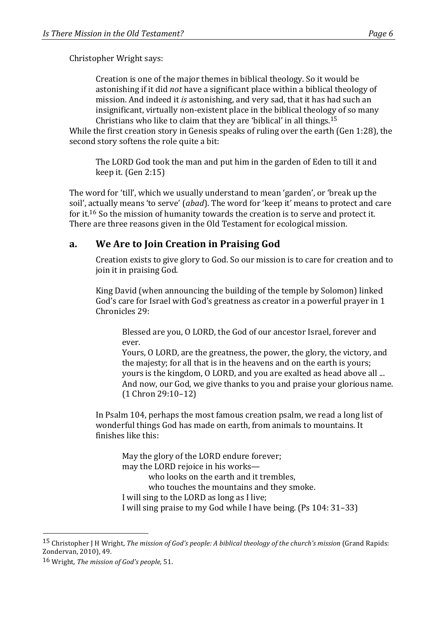Christopher Wright says:

Creation is one of the major themes in biblical theology. So it would be astonishing if it did *not* have a significant place within a biblical theology of mission. And indeed it *is* astonishing, and very sad, that it has had such an insignificant, virtually non-existent place in the biblical theology of so many Christians who like to claim that they are 'biblical' in all things.<sup>15</sup>

While the first creation story in Genesis speaks of ruling over the earth (Gen 1:28), the second story softens the role quite a bit:

The LORD God took the man and put him in the garden of Eden to till it and keep it.  $(Gen 2:15)$ 

The word for 'till', which we usually understand to mean 'garden', or 'break up the soil', actually means 'to serve' (*abad*). The word for 'keep it' means to protect and care for it.<sup>16</sup> So the mission of humanity towards the creation is to serve and protect it. There are three reasons given in the Old Testament for ecological mission.

# **a. We Are to Join Creation in Praising God**

Creation exists to give glory to God. So our mission is to care for creation and to join it in praising God.

King David (when announcing the building of the temple by Solomon) linked God's care for Israel with God's greatness as creator in a powerful prayer in 1 Chronicles 29:

Blessed are you, O LORD, the God of our ancestor Israel, forever and ever. 

Yours, O LORD, are the greatness, the power, the glory, the victory, and the majesty; for all that is in the heavens and on the earth is yours; yours is the kingdom, O LORD, and you are exalted as head above all ... And now, our God, we give thanks to you and praise your glorious name. (1 Chron 29:10–12)

In Psalm 104, perhaps the most famous creation psalm, we read a long list of wonderful things God has made on earth, from animals to mountains. It finishes like this:

May the glory of the LORD endure forever; may the LORD rejoice in his workswho looks on the earth and it trembles. who touches the mountains and they smoke. I will sing to the LORD as long as I live; I will sing praise to my God while I have being. (Ps 104: 31–33)

<sup>15</sup> Christopher *J* H Wright, *The mission of God's people: A biblical theology of the church's mission* (Grand Rapids: Zondervan, 2010), 49.

<sup>16</sup> Wright, *The mission of God's people*, 51.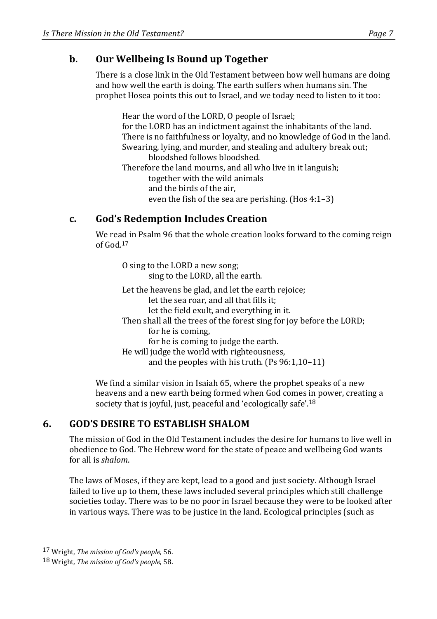### **b.** Our Wellbeing Is Bound up Together

There is a close link in the Old Testament between how well humans are doing and how well the earth is doing. The earth suffers when humans sin. The prophet Hosea points this out to Israel, and we today need to listen to it too:

Hear the word of the LORD, O people of Israel; for the LORD has an indictment against the inhabitants of the land. There is no faithfulness or loyalty, and no knowledge of God in the land. Swearing, lying, and murder, and stealing and adultery break out; bloodshed follows bloodshed. Therefore the land mourns, and all who live in it languish; together with the wild animals and the birds of the air,

even the fish of the sea are perishing. (Hos  $4:1-3$ )

### **c. God's Redemption Includes Creation**

We read in Psalm 96 that the whole creation looks forward to the coming reign of God.<sup>17</sup>

O sing to the LORD a new song; sing to the LORD, all the earth. Let the heavens be glad, and let the earth rejoice; let the sea roar, and all that fills it; let the field exult, and everything in it. Then shall all the trees of the forest sing for joy before the LORD; for he is coming. for he is coming to judge the earth. He will judge the world with righteousness, and the peoples with his truth.  $(Ps 96:1,10-11)$ 

We find a similar vision in Isaiah 65, where the prophet speaks of a new heavens and a new earth being formed when God comes in power, creating a society that is joyful, just, peaceful and 'ecologically safe'.<sup>18</sup>

# **6. GOD'S DESIRE TO ESTABLISH SHALOM**

The mission of God in the Old Testament includes the desire for humans to live well in obedience to God. The Hebrew word for the state of peace and wellbeing God wants for all is *shalom*.

The laws of Moses, if they are kept, lead to a good and just society. Although Israel failed to live up to them, these laws included several principles which still challenge societies today. There was to be no poor in Israel because they were to be looked after in various ways. There was to be justice in the land. Ecological principles (such as

<sup>17</sup> Wright, *The mission of God's people*, 56.

<sup>18</sup> Wright, *The mission of God's people*, 58.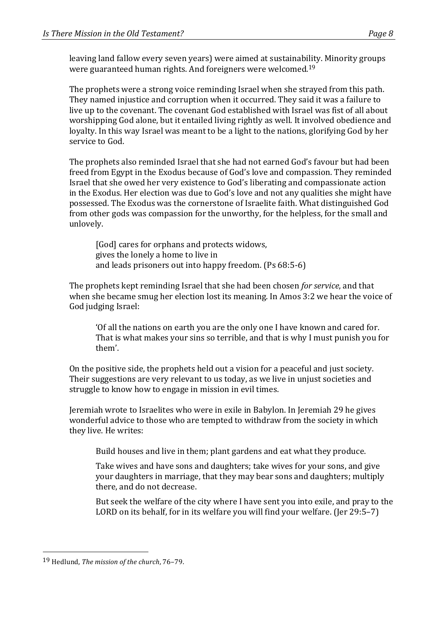leaving land fallow every seven years) were aimed at sustainability. Minority groups were guaranteed human rights. And foreigners were welcomed.<sup>19</sup>

The prophets were a strong voice reminding Israel when she strayed from this path. They named injustice and corruption when it occurred. They said it was a failure to live up to the covenant. The covenant God established with Israel was fist of all about worshipping God alone, but it entailed living rightly as well. It involved obedience and loyalty. In this way Israel was meant to be a light to the nations, glorifying God by her service to God.

The prophets also reminded Israel that she had not earned God's favour but had been freed from Egypt in the Exodus because of God's love and compassion. They reminded Israel that she owed her very existence to God's liberating and compassionate action in the Exodus. Her election was due to God's love and not any qualities she might have possessed. The Exodus was the cornerstone of Israelite faith. What distinguished God from other gods was compassion for the unworthy, for the helpless, for the small and unlovely.

[God] cares for orphans and protects widows, gives the lonely a home to live in and leads prisoners out into happy freedom. (Ps 68:5-6)

The prophets kept reminding Israel that she had been chosen *for service*, and that when she became smug her election lost its meaning. In Amos 3:2 we hear the voice of God judging Israel:

'Of all the nations on earth you are the only one I have known and cared for. That is what makes your sins so terrible, and that is why I must punish you for them'.

On the positive side, the prophets held out a vision for a peaceful and just society. Their suggestions are very relevant to us today, as we live in unjust societies and struggle to know how to engage in mission in evil times.

Jeremiah wrote to Israelites who were in exile in Babylon. In Jeremiah 29 he gives wonderful advice to those who are tempted to withdraw from the society in which they live. He writes:

Build houses and live in them; plant gardens and eat what they produce.

Take wives and have sons and daughters; take wives for your sons, and give your daughters in marriage, that they may bear sons and daughters; multiply there, and do not decrease.

But seek the welfare of the city where I have sent you into exile, and pray to the LORD on its behalf, for in its welfare you will find your welfare. (Jer 29:5–7)

<sup>19</sup> Hedlund, *The mission of the church*, 76-79.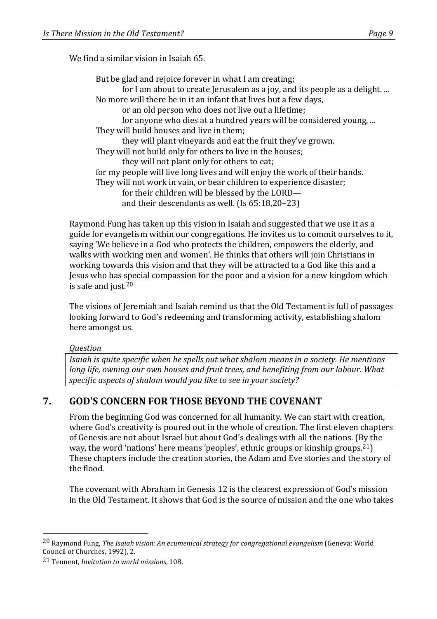We find a similar vision in Isaiah 65.

Raymond Fung has taken up this vision in Isaiah and suggested that we use it as a guide for evangelism within our congregations. He invites us to commit ourselves to it, saying 'We believe in a God who protects the children, empowers the elderly, and walks with working men and women'. He thinks that others will join Christians in working towards this vision and that they will be attracted to a God like this and a Jesus who has special compassion for the poor and a vision for a new kingdom which is safe and just. $20$ 

The visions of Jeremiah and Isaiah remind us that the Old Testament is full of passages looking forward to God's redeeming and transforming activity, establishing shalom here amongst us.

*Question*

*Isaiah is quite specific* when he spells out what shalom means in a society. He mentions *long life, owning our own houses and fruit trees, and benefiting from our labour. What* specific aspects of shalom would you like to see in your society?

### **7. GOD'S CONCERN FOR THOSE BEYOND THE COVENANT**

From the beginning God was concerned for all humanity. We can start with creation, where God's creativity is poured out in the whole of creation. The first eleven chapters of Genesis are not about Israel but about God's dealings with all the nations. (By the way, the word 'nations' here means 'peoples', ethnic groups or kinship groups.<sup>21</sup>) These chapters include the creation stories, the Adam and Eve stories and the story of the flood.

The covenant with Abraham in Genesis 12 is the clearest expression of God's mission in the Old Testament. It shows that God is the source of mission and the one who takes

<sup>&</sup>lt;sup>20</sup> Raymond Fung, *The Isaiah vision: An ecumenical strategy for congregational evangelism* (Geneva: World Council of Churches, 1992), 2.

<sup>21</sup> Tennent, *Invitation to world missions*, 108.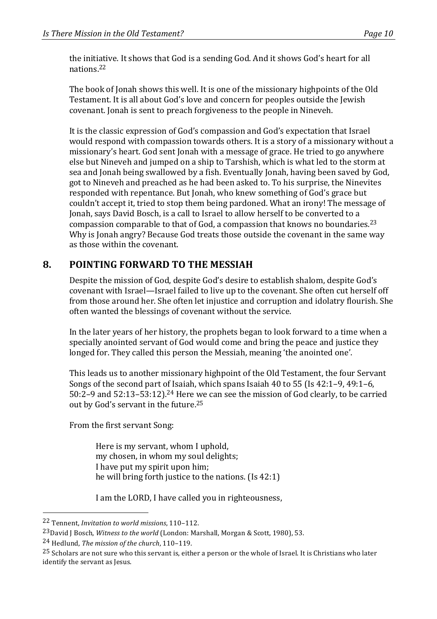the initiative. It shows that God is a sending God. And it shows God's heart for all nations.22

The book of Jonah shows this well. It is one of the missionary highpoints of the Old Testament. It is all about God's love and concern for peoples outside the Jewish covenant. Jonah is sent to preach forgiveness to the people in Nineveh.

It is the classic expression of God's compassion and God's expectation that Israel would respond with compassion towards others. It is a story of a missionary without a missionary's heart. God sent Jonah with a message of grace. He tried to go anywhere else but Nineveh and jumped on a ship to Tarshish, which is what led to the storm at sea and Jonah being swallowed by a fish. Eventually Jonah, having been saved by God, got to Nineveh and preached as he had been asked to. To his surprise, the Ninevites responded with repentance. But Jonah, who knew something of God's grace but couldn't accept it, tried to stop them being pardoned. What an irony! The message of Jonah, says David Bosch, is a call to Israel to allow herself to be converted to a compassion comparable to that of God, a compassion that knows no boundaries.<sup>23</sup> Why is Jonah angry? Because God treats those outside the covenant in the same way as those within the covenant.

# 8. **POINTING FORWARD TO THE MESSIAH**

Despite the mission of God, despite God's desire to establish shalom, despite God's covenant with Israel—Israel failed to live up to the covenant. She often cut herself off from those around her. She often let injustice and corruption and idolatry flourish. She often wanted the blessings of covenant without the service.

In the later years of her history, the prophets began to look forward to a time when a specially anointed servant of God would come and bring the peace and justice they longed for. They called this person the Messiah, meaning 'the anointed one'.

This leads us to another missionary highpoint of the Old Testament, the four Servant Songs of the second part of Isaiah, which spans Isaiah 40 to 55 (Is  $42:1-9$ ,  $49:1-6$ , 50:2–9 and  $52:13-53:12$ ).<sup>24</sup> Here we can see the mission of God clearly, to be carried out by God's servant in the future.<sup>25</sup>

From the first servant Song:

Here is my servant, whom I uphold, my chosen, in whom my soul delights; I have put my spirit upon him; he will bring forth justice to the nations.  $(Is 42:1)$ 

I am the LORD, I have called you in righteousness,

<sup>22</sup> Tennent, *Invitation to world missions*, 110–112.

<sup>&</sup>lt;sup>23</sup>David J Bosch, *Witness to the world* (London: Marshall, Morgan & Scott, 1980), 53.

<sup>&</sup>lt;sup>24</sup> Hedlund, *The mission of the church*, 110-119.

 $^{25}$  Scholars are not sure who this servant is, either a person or the whole of Israel. It is Christians who later identify the servant as Jesus.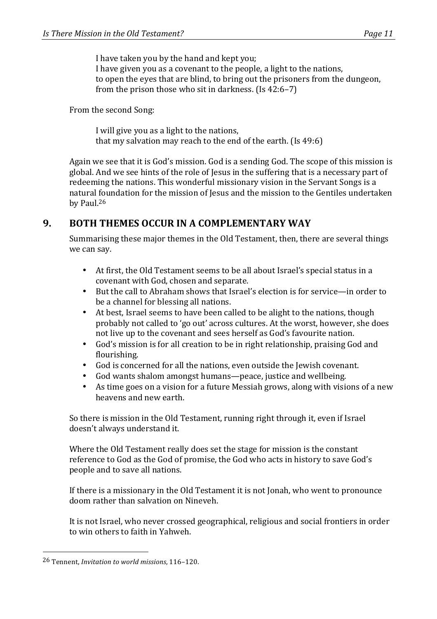I have taken you by the hand and kept you; I have given you as a covenant to the people, a light to the nations, to open the eyes that are blind, to bring out the prisoners from the dungeon, from the prison those who sit in darkness.  $(1s 42:6-7)$ 

#### From the second Song:

I will give you as a light to the nations, that my salvation may reach to the end of the earth.  $(Is 49:6)$ 

Again we see that it is God's mission. God is a sending God. The scope of this mission is global. And we see hints of the role of Jesus in the suffering that is a necessary part of redeeming the nations. This wonderful missionary vision in the Servant Songs is a natural foundation for the mission of Jesus and the mission to the Gentiles undertaken by Paul.<sup>26</sup>

#### **9. BOTH THEMES OCCUR IN A COMPLEMENTARY WAY**

Summarising these major themes in the Old Testament, then, there are several things we can say.

- At first, the Old Testament seems to be all about Israel's special status in a covenant with God, chosen and separate.
- But the call to Abraham shows that Israel's election is for service—in order to be a channel for blessing all nations.
- At best, Israel seems to have been called to be alight to the nations, though probably not called to 'go out' across cultures. At the worst, however, she does not live up to the covenant and sees herself as God's favourite nation.
- God's mission is for all creation to be in right relationship, praising God and flourishing.
- God is concerned for all the nations, even outside the Jewish covenant.
- God wants shalom amongst humans—peace, justice and wellbeing.
- As time goes on a vision for a future Messiah grows, along with visions of a new heavens and new earth.

So there is mission in the Old Testament, running right through it, even if Israel doesn't always understand it.

Where the Old Testament really does set the stage for mission is the constant reference to God as the God of promise, the God who acts in history to save God's people and to save all nations.

If there is a missionary in the Old Testament it is not Jonah, who went to pronounce doom rather than salvation on Nineveh.

It is not Israel, who never crossed geographical, religious and social frontiers in order to win others to faith in Yahweh.

<sup>&</sup>lt;sup>26</sup> Tennent, *Invitation to world missions*, 116-120.